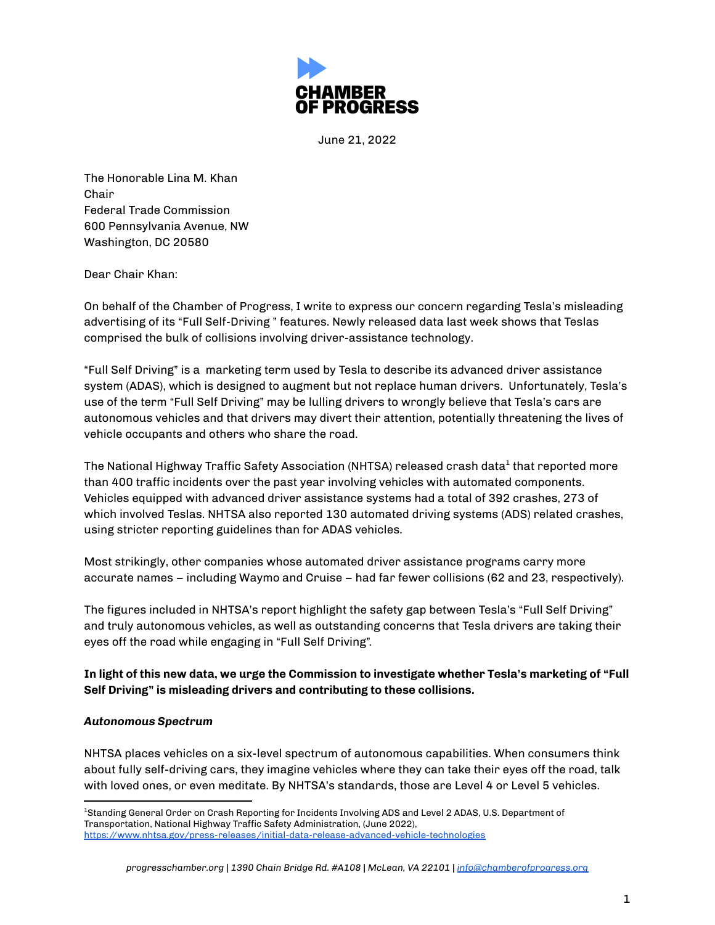

June 21, 2022

The Honorable Lina M. Khan Chair Federal Trade Commission 600 Pennsylvania Avenue, NW Washington, DC 20580

Dear Chair Khan:

On behalf of the Chamber of Progress, I write to express our concern regarding Tesla's misleading advertising of its "Full Self-Driving " features. Newly released data last week shows that Teslas comprised the bulk of collisions involving driver-assistance technology.

"Full Self Driving" is a marketing term used by Tesla to describe its advanced driver assistance system (ADAS), which is designed to augment but not replace human drivers. Unfortunately, Tesla's use of the term "Full Self Driving" may be lulling drivers to wrongly believe that Tesla's cars are autonomous vehicles and that drivers may divert their attention, potentially threatening the lives of vehicle occupants and others who share the road.

The National Highway Traffic Safety Association (NHTSA) released crash data<sup>1</sup> that reported more than 400 traffic incidents over the past year involving vehicles with automated components. Vehicles equipped with advanced driver assistance systems had a total of 392 crashes, 273 of which involved Teslas. NHTSA also reported 130 automated driving systems (ADS) related crashes, using stricter reporting guidelines than for ADAS vehicles.

Most strikingly, other companies whose automated driver assistance programs carry more accurate names – including Waymo and Cruise – had far fewer collisions (62 and 23, respectively).

The figures included in NHTSA's report highlight the safety gap between Tesla's "Full Self Driving" and truly autonomous vehicles, as well as outstanding concerns that Tesla drivers are taking their eyes off the road while engaging in "Full Self Driving".

**In light of this new data, we urge the Commission to investigate whether Tesla's marketing of "Full Self Driving" is misleading drivers and contributing to these collisions.**

## *Autonomous Spectrum*

NHTSA places vehicles on a six-level spectrum of autonomous capabilities. When consumers think about fully self-driving cars, they imagine vehicles where they can take their eyes off the road, talk with loved ones, or even meditate. By NHTSA's standards, those are Level 4 or Level 5 vehicles.

<sup>1</sup>Standing General Order on Crash Reporting for Incidents Involving ADS and Level 2 ADAS, U.S. Department of Transportation, National Highway Traffic Safety Administration, (June 2022), <https://www.nhtsa.gov/press-releases/initial-data-release-advanced-vehicle-technologies>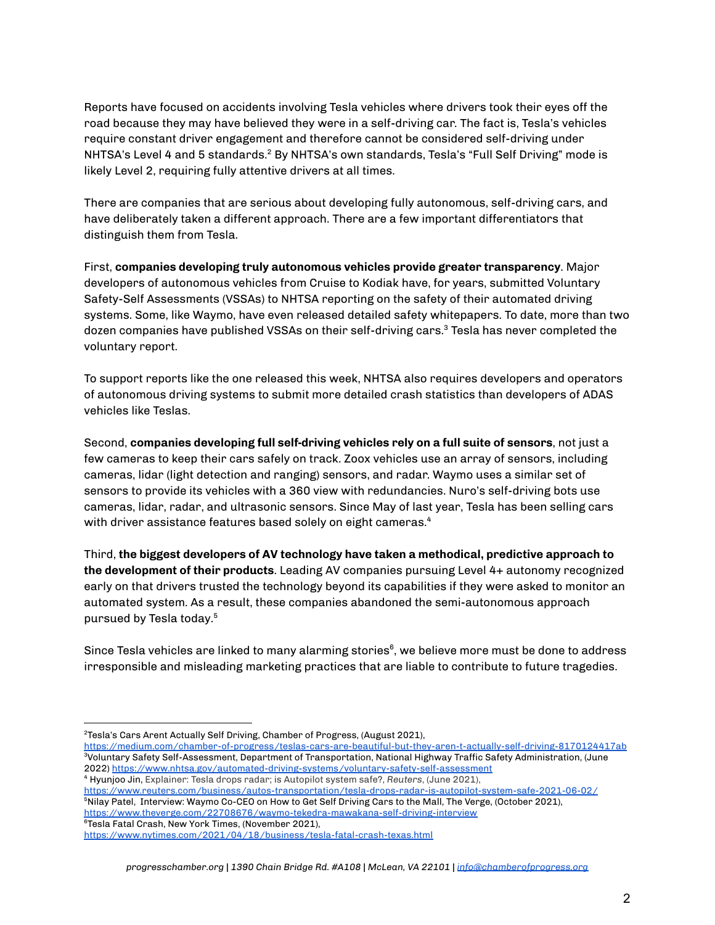Reports have focused on accidents involving Tesla vehicles where drivers took their eyes off the road because they may have believed they were in a self-driving car. The fact is, Tesla's vehicles require constant driver engagement and therefore cannot be considered self-driving under NHTSA's Level 4 and 5 standards.<sup>2</sup> By NHTSA's own standards, Tesla's "Full Self Driving" mode is likely Level 2, requiring fully attentive drivers at all times.

There are companies that are serious about developing fully autonomous, self-driving cars, and have deliberately taken a different approach. There are a few important differentiators that distinguish them from Tesla.

First, **companies developing truly autonomous vehicles provide greater transparency**. Major developers of autonomous vehicles from Cruise to Kodiak have, for years, submitted Voluntary Safety-Self Assessments (VSSAs) to NHTSA reporting on the safety of their automated driving systems. Some, like Waymo, have even released detailed safety whitepapers. To date, more than two dozen companies have published VSSAs on their self-driving cars. <sup>3</sup> Tesla has never completed the voluntary report.

To support reports like the one released this week, NHTSA also requires developers and operators of autonomous driving systems to submit more detailed crash statistics than developers of ADAS vehicles like Teslas.

Second, **companies developing full self-driving vehicles rely on a full suite of sensors**, not just a few cameras to keep their cars safely on track. Zoox vehicles use an array of sensors, including cameras, lidar (light detection and ranging) sensors, and radar. Waymo uses a similar set of sensors to provide its vehicles with a 360 view with redundancies. Nuro's self-driving bots use cameras, lidar, radar, and ultrasonic sensors. Since May of last year, Tesla has been selling cars with driver assistance features based solely on eight cameras. 4

Third, **the biggest developers of AV technology have taken a methodical, predictive approach to the development of their products**. Leading AV companies pursuing Level 4+ autonomy recognized early on that drivers trusted the technology beyond its capabilities if they were asked to monitor an automated system. As a result, these companies abandoned the semi-autonomous approach pursued by Tesla today. 5

Since Tesla vehicles are linked to many alarming stories<sup>6</sup>, we believe more must be done to address irresponsible and misleading marketing practices that are liable to contribute to future tragedies.

<sup>4</sup> Hyunjoo Jin, Explainer: Tesla drops radar; is Autopilot system safe?, *Reuters*, (June 2021),

<sup>5</sup>Nilay Patel, Interview: Waymo Co-CEO on How to Get Self Driving Cars to the Mall, The Verge, (October 2021), <https://www.theverge.com/22708676/waymo-tekedra-mawakana-self-driving-interview> <https://www.reuters.com/business/autos-transportation/tesla-drops-radar-is-autopilot-system-safe-2021-06-02/>

<sup>6</sup>Tesla Fatal Crash, New York Times, (November 2021),

<sup>2</sup>Tesla's Cars Arent Actually Self Driving, Chamber of Progress, (August 2021),

<sup>3</sup>Voluntary Safety Self-Assessment, Department of Transportation, National Highway Traffic Safety Administration, (June 2022) <https://www.nhtsa.gov/automated-driving-systems/voluntary-safety-self-assessment> <https://medium.com/chamber-of-progress/teslas-cars-are-beautiful-but-they-aren-t-actually-self-driving-8170124417ab>

<https://www.nytimes.com/2021/04/18/business/tesla-fatal-crash-texas.html>